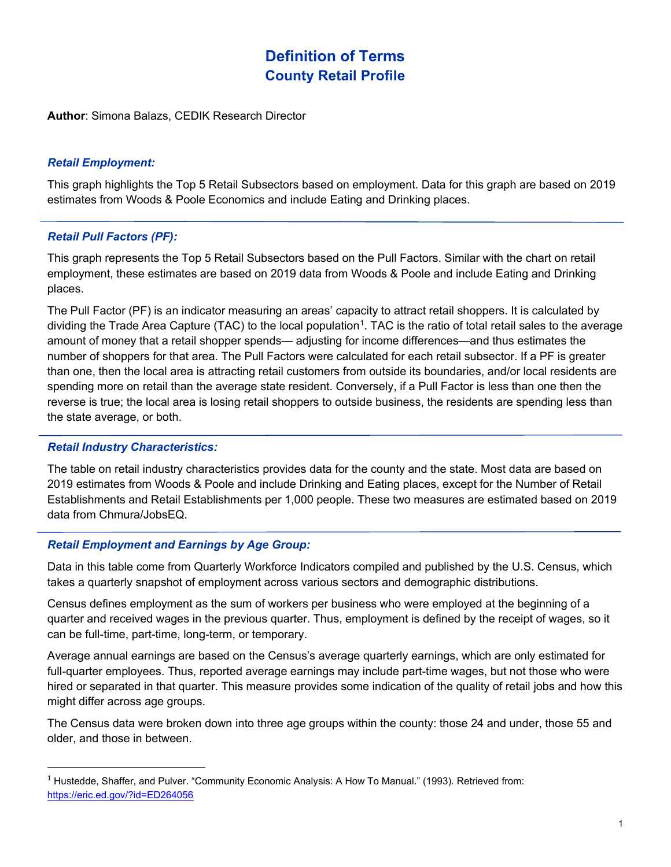# **Definition of Terms County Retail Profile**

**Author**: Simona Balazs, CEDIK Research Director

## *Retail Employment:*

This graph highlights the Top 5 Retail Subsectors based on employment. Data for this graph are based on 2019 estimates from Woods & Poole Economics and include Eating and Drinking places.

## *Retail Pull Factors (PF):*

This graph represents the Top 5 Retail Subsectors based on the Pull Factors. Similar with the chart on retail employment, these estimates are based on 2019 data from Woods & Poole and include Eating and Drinking places.

The Pull Factor (PF) is an indicator measuring an areas' capacity to attract retail shoppers. It is calculated by dividing the Trade Area Capture (TAC) to the local population<sup>[1](#page-0-0)</sup>. TAC is the ratio of total retail sales to the average amount of money that a retail shopper spends— adjusting for income differences—and thus estimates the number of shoppers for that area. The Pull Factors were calculated for each retail subsector. If a PF is greater than one, then the local area is attracting retail customers from outside its boundaries, and/or local residents are spending more on retail than the average state resident. Conversely, if a Pull Factor is less than one then the reverse is true; the local area is losing retail shoppers to outside business, the residents are spending less than the state average, or both.

### *Retail Industry Characteristics:*

 $\overline{a}$ 

The table on retail industry characteristics provides data for the county and the state. Most data are based on 2019 estimates from Woods & Poole and include Drinking and Eating places, except for the Number of Retail Establishments and Retail Establishments per 1,000 people. These two measures are estimated based on 2019 data from Chmura/JobsEQ.

## *Retail Employment and Earnings by Age Group:*

Data in this table come from Quarterly Workforce Indicators compiled and published by the U.S. Census, which takes a quarterly snapshot of employment across various sectors and demographic distributions.

Census defines employment as the sum of workers per business who were employed at the beginning of a quarter and received wages in the previous quarter. Thus, employment is defined by the receipt of wages, so it can be full-time, part-time, long-term, or temporary.

Average annual earnings are based on the Census's average quarterly earnings, which are only estimated for full-quarter employees. Thus, reported average earnings may include part-time wages, but not those who were hired or separated in that quarter. This measure provides some indication of the quality of retail jobs and how this might differ across age groups.

The Census data were broken down into three age groups within the county: those 24 and under, those 55 and older, and those in between.

<span id="page-0-0"></span><sup>&</sup>lt;sup>1</sup> Hustedde, Shaffer, and Pulver. "Community Economic Analysis: A How To Manual." (1993). Retrieved from: <https://eric.ed.gov/?id=ED264056>